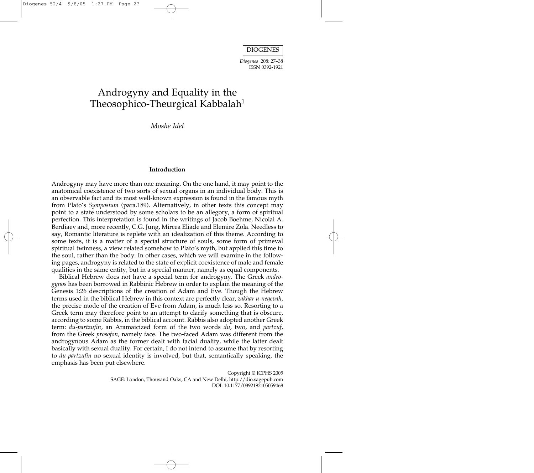## DIOGENES

*Diogenes* 208: 27–38 ISSN 0392-1921

# Androgyny and Equality in the Theosophico-Theurgical Kabbalah<sup>1</sup>

*Moshe Idel*

## **Introduction**

Androgyny may have more than one meaning. On the one hand, it may point to the anatomical coexistence of two sorts of sexual organs in an individual body. This is an observable fact and its most well-known expression is found in the famous myth from Plato's *Symposium* (para.189)*.* Alternatively, in other texts this concept may point to a state understood by some scholars to be an allegory, a form of spiritual perfection. This interpretation is found in the writings of Jacob Boehme, Nicolai A. Berdiaev and, more recently, C.G. Jung, Mircea Eliade and Elemire Zola. Needless to say, Romantic literature is replete with an idealization of this theme. According to some texts, it is a matter of a special structure of souls, some form of primeval spiritual twinness, a view related somehow to Plato's myth, but applied this time to the soul, rather than the body. In other cases, which we will examine in the following pages, androgyny is related to the state of explicit coexistence of male and female qualities in the same entity, but in a special manner, namely as equal components.

Biblical Hebrew does not have a special term for androgyny. The Greek *androgynos* has been borrowed in Rabbinic Hebrew in order to explain the meaning of the Genesis 1:26 descriptions of the creation of Adam and Eve. Though the Hebrew terms used in the biblical Hebrew in this context are perfectly clear, *zakhar u-neqevah*, the precise mode of the creation of Eve from Adam, is much less so. Resorting to a Greek term may therefore point to an attempt to clarify something that is obscure, according to some Rabbis, in the biblical account. Rabbis also adopted another Greek term: *du-partzufin,* an Aramaicized form of the two words *du*, two, and *partzuf,* from the Greek *prosofon*, namely face. The two-faced Adam was different from the androgynous Adam as the former dealt with facial duality, while the latter dealt basically with sexual duality. For certain, I do not intend to assume that by resorting to *du-partzufin* no sexual identity is involved, but that, semantically speaking, the emphasis has been put elsewhere.

> Copyright © ICPHS 2005 SAGE: London, Thousand Oaks, CA and New Delhi, http://dio.sagepub.com DOI: 10.1177/0392192105059468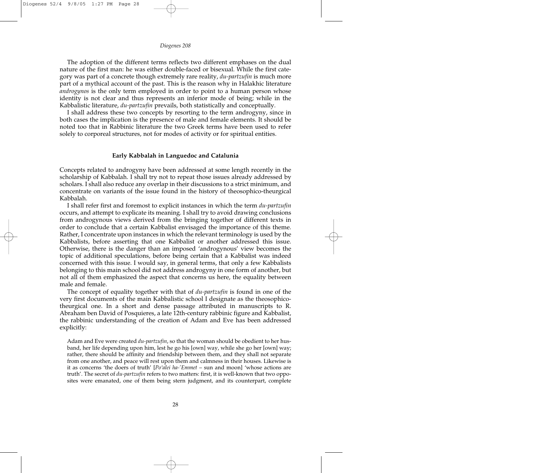The adoption of the different terms reflects two different emphases on the dual nature of the first man: he was either double-faced or bisexual. While the first category was part of a concrete though extremely rare reality, *du-partzufin* is much more part of a mythical account of the past. This is the reason why in Halakhic literature *androgynos* is the only term employed in order to point to a human person whose identity is not clear and thus represents an inferior mode of being; while in the Kabbalistic literature, *du-partzufin* prevails, both statistically and conceptually.

I shall address these two concepts by resorting to the term androgyny, since in both cases the implication is the presence of male and female elements. It should be noted too that in Rabbinic literature the two Greek terms have been used to refer solely to corporeal structures, not for modes of activity or for spiritual entities.

## **Early Kabbalah in Languedoc and Catalunia**

Concepts related to androgyny have been addressed at some length recently in the scholarship of Kabbalah. I shall try not to repeat those issues already addressed by scholars. I shall also reduce any overlap in their discussions to a strict minimum, and concentrate on variants of the issue found in the history of theosophico-theurgical Kabbalah.

I shall refer first and foremost to explicit instances in which the term *du-partzufin* occurs, and attempt to explicate its meaning. I shall try to avoid drawing conclusions from androgynous views derived from the bringing together of different texts in order to conclude that a certain Kabbalist envisaged the importance of this theme. Rather, I concentrate upon instances in which the relevant terminology is used by the Kabbalists, before asserting that one Kabbalist or another addressed this issue. Otherwise, there is the danger than an imposed 'androgynous' view becomes the topic of additional speculations, before being certain that a Kabbalist was indeed concerned with this issue. I would say, in general terms, that only a few Kabbalists belonging to this main school did not address androgyny in one form of another, but not all of them emphasized the aspect that concerns us here, the equality between male and female.

The concept of equality together with that of *du-partzufin* is found in one of the very first documents of the main Kabbalistic school I designate as the theosophicotheurgical one. In a short and dense passage attributed in manuscripts to R. Abraham ben David of Posquieres, a late 12th-century rabbinic figure and Kabbalist, the rabbinic understanding of the creation of Adam and Eve has been addressed explicitly:

Adam and Eve were created *du-partzufin*, so that the woman should be obedient to her husband, her life depending upon him, lest he go his [own] way, while she go her [own] way; rather, there should be affinity and friendship between them, and they shall not separate from one another, and peace will rest upon them and calmness in their houses. Likewise is it as concerns 'the doers of truth' [*Po'alei ha-'Emmet* – sun and moon] 'whose actions are truth'. The secret of *du-partzufin* refers to two matters: first, it is well-known that two opposites were emanated, one of them being stern judgment, and its counterpart, complete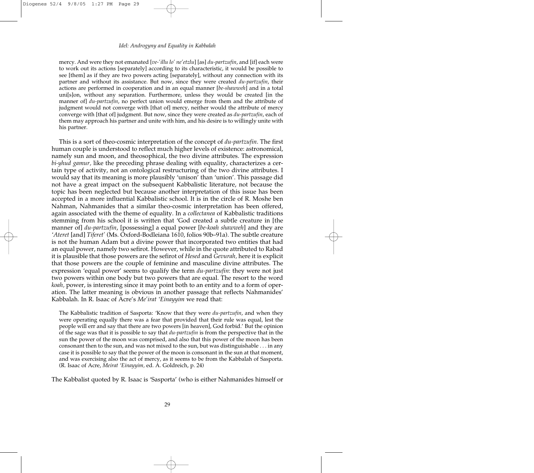mercy. And were they not emanated [*ve-'illu lo' ne'etzlu*] [as] *du-partzufin*, and [if] each were to work out its actions [separately] according to its characteristic, it would be possible to see [them] as if they are two powers acting [separately], without any connection with its partner and without its assistance. But now, since they were created *du-partzufin*, their actions are performed in cooperation and in an equal manner [*be-shawweh*] and in a total uni[s]on, without any separation. Furthermore, unless they would be created [in the manner of] *du-partzufin*, no perfect union would emerge from them and the attribute of judgment would not converge with [that of] mercy, neither would the attribute of mercy converge with [that of] judgment. But now, since they were created as *du-partzufin*, each of them may approach his partner and unite with him, and his desire is to willingly unite with his partner.

This is a sort of theo-cosmic interpretation of the concept of *du-partzufin*. The first human couple is understood to reflect much higher levels of existence: astronomical, namely sun and moon, and theosophical, the two divine attributes. The expression *bi-yhud gamur,* like the preceding phrase dealing with equality, characterizes a certain type of activity, not an ontological restructuring of the two divine attributes. I would say that its meaning is more plausibly 'unison' than 'union'. This passage did not have a great impact on the subsequent Kabbalistic literature, not because the topic has been neglected but because another interpretation of this issue has been accepted in a more influential Kabbalistic school. It is in the circle of R. Moshe ben Nahman, Nahmanides that a similar theo-cosmic interpretation has been offered, again associated with the theme of equality. In a *collectanea* of Kabbalistic traditions stemming from his school it is written that 'God created a subtle creature in [the manner of] *du-partzufin*, [possessing] a equal power [*be-koah shawweh*] and they are *'Ateret* [and] *Tiferet'* (Ms. Oxford-Bodleiana 1610, folios 90b–91a). The subtle creature is not the human Adam but a divine power that incorporated two entities that had an equal power, namely two sefirot. However, while in the quote attributed to Rabad it is plausible that those powers are the sefirot of *Hesed* and *Gevurah,* here it is explicit that those powers are the couple of feminine and masculine divine attributes. The expression 'equal power' seems to qualify the term *du-partzufin*: they were not just two powers within one body but two powers that are equal. The resort to the word *koah,* power, is interesting since it may point both to an entity and to a form of operation. The latter meaning is obvious in another passage that reflects Nahmanides' Kabbalah. In R. Isaac of Acre's *Me'irat 'Einayyim* we read that:

The Kabbalistic tradition of Sasporta: 'Know that they were *du-partzufin*, and when they were operating equally there was a fear that provided that their rule was equal, lest the people will err and say that there are two powers [in heaven], God forbid.' But the opinion of the sage was that it is possible to say that *du-partzufin* is from the perspective that in the sun the power of the moon was comprised, and also that this power of the moon has been consonant then to the sun, and was not mixed to the sun, but was distinguishable . . . in any case it is possible to say that the power of the moon is consonant in the sun at that moment, and was exercising also the act of mercy, as it seems to be from the Kabbalah of Sasporta. (R. Isaac of Acre, *Meirat 'Einayyim,* ed. A. Goldreich, p. 24)

The Kabbalist quoted by R. Isaac is 'Sasporta' (who is either Nahmanides himself or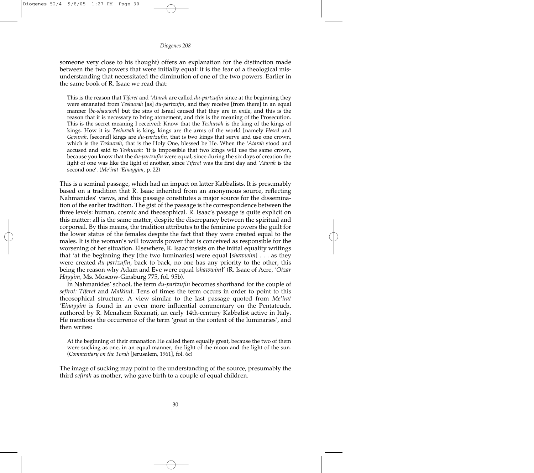someone very close to his thought) offers an explanation for the distinction made between the two powers that were initially equal: it is the fear of a theological misunderstanding that necessitated the diminution of one of the two powers. Earlier in the same book of R. Isaac we read that:

This is the reason that *Tiferet* and *'Atarah* are called *du-partzufin* since at the beginning they were emanated from *Teshuvah* [as] *du-partzufin*, and they receive [from there] in an equal manner [*be-shawweh*] but the sins of Israel caused that they are in exile, and this is the reason that it is necessary to bring atonement, and this is the meaning of the Prosecution. This is the secret meaning I received: Know that the *Teshuvah* is the king of the kings of kings. How it is: *Teshuvah* is king, kings are the arms of the world [namely *Hesed* and *Gevurah,* [second] kings are *du-partzufin*, that is two kings that serve and use one crown, which is the *Teshuvah*, that is the Holy One, blessed be He. When the *'Atarah* stood and accused and said to *Teshuvah:* 'it is impossible that two kings will use the same crown, because you know that the *du-partzufin* were equal, since during the six days of creation the light of one was like the light of another, since *Tiferet* was the first day and *'Atarah* is the second one'. (*Me'irat 'Einayyim*, p. 22)

This is a seminal passage, which had an impact on latter Kabbalists. It is presumably based on a tradition that R. Isaac inherited from an anonymous source, reflecting Nahmanides' views, and this passage constitutes a major source for the dissemination of the earlier tradition. The gist of the passage is the correspondence between the three levels: human, cosmic and theosophical. R. Isaac's passage is quite explicit on this matter: all is the same matter, despite the discrepancy between the spiritual and corporeal. By this means, the tradition attributes to the feminine powers the guilt for the lower status of the females despite the fact that they were created equal to the males. It is the woman's will towards power that is conceived as responsible for the worsening of her situation. Elsewhere, R. Isaac insists on the initial equality writings that 'at the beginning they [the two luminaries] were equal [*shawwim*] . . . as they were created *du-partzufin*, back to back, no one has any priority to the other, this being the reason why Adam and Eve were equal [*shawwim*]' (R. Isaac of Acre*, 'Otzar Hayyim,* Ms. Moscow-Ginsburg 775, fol. 95b).

In Nahmanides' school, the term *du-partzufin* becomes shorthand for the couple of *sefirot: Tiferet* and *Malkhu*t. Tens of times the term occurs in order to point to this theosophical structure. A view similar to the last passage quoted from *Me'irat 'Einayyim* is found in an even more influential commentary on the Pentateuch, authored by R. Menahem Recanati, an early 14th-century Kabbalist active in Italy. He mentions the occurrence of the term 'great in the context of the luminaries', and then writes:

At the beginning of their emanation He called them equally great, because the two of them were sucking as one, in an equal manner, the light of the moon and the light of the sun. (*Commentary on the Torah* [Jerusalem, 1961], fol. 6c)

The image of sucking may point to the understanding of the source, presumably the third *sefirah* as mother, who gave birth to a couple of equal children.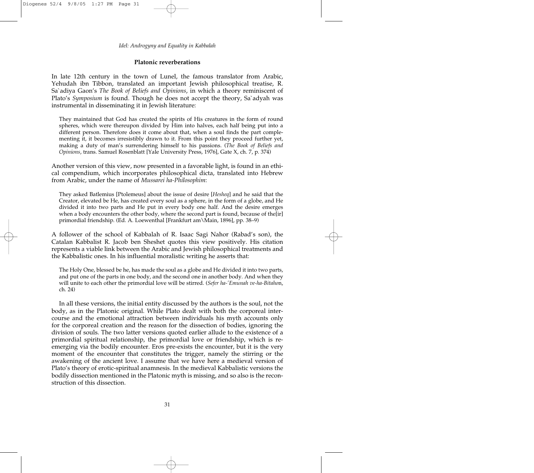#### **Platonic reverberations**

In late 12th century in the town of Lunel, the famous translator from Arabic, Yehudah ibn Tibbon, translated an important Jewish philosophical treatise, R. Sa`adiya Gaon's *The Book of Beliefs and Opinions*, in which a theory reminiscent of Plato's *Symposium* is found. Though he does not accept the theory, Sa`adyah was instrumental in disseminating it in Jewish literature:

They maintained that God has created the spirits of His creatures in the form of round spheres, which were thereupon divided by Him into halves, each half being put into a different person. Therefore does it come about that, when a soul finds the part complementing it, it becomes irresistibly drawn to it. From this point they proceed further yet, making a duty of man's surrendering himself to his passions. (*The Book of Beliefs and Opinions*, trans. Samuel Rosenblatt [Yale University Press, 1976], Gate X, ch. 7, p. 374)

Another version of this view, now presented in a favorable light, is found in an ethical compendium, which incorporates philosophical dicta, translated into Hebrew from Arabic, under the name of *Mussarei ha-Philosophim*:

They asked Batlemius [Ptolemeus] about the issue of desire [*Hesheq*] and he said that the Creator, elevated be He, has created every soul as a sphere, in the form of a globe, and He divided it into two parts and He put in every body one half. And the desire emerges when a body encounters the other body, where the second part is found, because of the[ir] primordial friendship. (Ed. A. Loewenthal [Frankfurt am\Main, 1896], pp. 38–9)

A follower of the school of Kabbalah of R. Isaac Sagi Nahor (Rabad's son), the Catalan Kabbalist R. Jacob ben Sheshet quotes this view positively. His citation represents a viable link between the Arabic and Jewish philosophical treatments and the Kabbalistic ones. In his influential moralistic writing he asserts that:

The Holy One, blessed be he, has made the soul as a globe and He divided it into two parts, and put one of the parts in one body, and the second one in another body. And when they will unite to each other the primordial love will be stirred. (*Sefer ha-'Emunah ve-ha-Bitaho*n, ch. 24)

In all these versions, the initial entity discussed by the authors is the soul, not the body, as in the Platonic original. While Plato dealt with both the corporeal intercourse and the emotional attraction between individuals his myth accounts only for the corporeal creation and the reason for the dissection of bodies, ignoring the division of souls. The two latter versions quoted earlier allude to the existence of a primordial spiritual relationship, the primordial love or friendship, which is reemerging via the bodily encounter. Eros pre-exists the encounter, but it is the very moment of the encounter that constitutes the trigger, namely the stirring or the awakening of the ancient love. I assume that we have here a medieval version of Plato's theory of erotic-spiritual anamnesis. In the medieval Kabbalistic versions the bodily dissection mentioned in the Platonic myth is missing, and so also is the reconstruction of this dissection.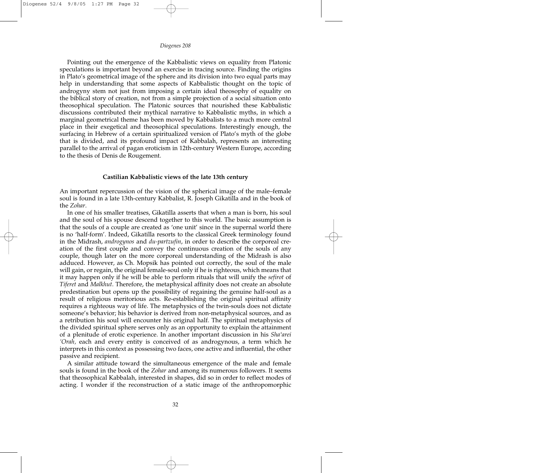Pointing out the emergence of the Kabbalistic views on equality from Platonic speculations is important beyond an exercise in tracing source. Finding the origins in Plato's geometrical image of the sphere and its division into two equal parts may help in understanding that some aspects of Kabbalistic thought on the topic of androgyny stem not just from imposing a certain ideal theosophy of equality on the biblical story of creation, not from a simple projection of a social situation onto theosophical speculation. The Platonic sources that nourished these Kabbalistic discussions contributed their mythical narrative to Kabbalistic myths, in which a marginal geometrical theme has been moved by Kabbalists to a much more central place in their exegetical and theosophical speculations. Interestingly enough, the surfacing in Hebrew of a certain spiritualized version of Plato's myth of the globe that is divided, and its profound impact of Kabbalah, represents an interesting parallel to the arrival of pagan eroticism in 12th-century Western Europe, according to the thesis of Denis de Rougement.

## **Castilian Kabbalistic views of the late 13th century**

An important repercussion of the vision of the spherical image of the male–female soul is found in a late 13th-century Kabbalist, R. Joseph Gikatilla and in the book of the *Zohar*.

In one of his smaller treatises, Gikatilla asserts that when a man is born, his soul and the soul of his spouse descend together to this world. The basic assumption is that the souls of a couple are created as 'one unit' since in the supernal world there is no 'half-form'. Indeed, Gikatilla resorts to the classical Greek terminology found in the Midrash, *androgynos* and *du-partzufin*, in order to describe the corporeal creation of the first couple and convey the continuous creation of the souls of any couple, though later on the more corporeal understanding of the Midrash is also adduced. However, as Ch. Mopsik has pointed out correctly, the soul of the male will gain, or regain, the original female-soul only if he is righteous, which means that it may happen only if he will be able to perform rituals that will unify the *sefirot* of *Tiferet* and *Malkhut*. Therefore, the metaphysical affinity does not create an absolute predestination but opens up the possibility of regaining the genuine half-soul as a result of religious meritorious acts. Re-establishing the original spiritual affinity requires a righteous way of life. The metaphysics of the twin-souls does not dictate someone's behavior; his behavior is derived from non-metaphysical sources, and as a retribution his soul will encounter his original half. The spiritual metaphysics of the divided spiritual sphere serves only as an opportunity to explain the attainment of a plenitude of erotic experience. In another important discussion in his *Sha'arei 'Orah,* each and every entity is conceived of as androgynous, a term which he interprets in this context as possessing two faces, one active and influential, the other passive and recipient.

A similar attitude toward the simultaneous emergence of the male and female souls is found in the book of the *Zohar* and among its numerous followers. It seems that theosophical Kabbalah, interested in shapes, did so in order to reflect modes of acting. I wonder if the reconstruction of a static image of the anthropomorphic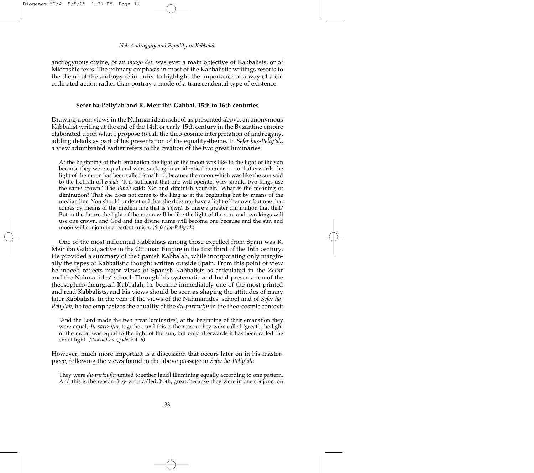androgynous divine, of an *imago dei,* was ever a main objective of Kabbalists, or of Midrashic texts. The primary emphasis in most of the Kabbalistic writings resorts to the theme of the androgyne in order to highlight the importance of a way of a coordinated action rather than portray a mode of a transcendental type of existence.

## **Sefer ha-Peliy'ah and R. Meir ibn Gabbai, 15th to 16th centuries**

Drawing upon views in the Nahmanidean school as presented above, an anonymous Kabbalist writing at the end of the 14th or early 15th century in the Byzantine empire elaborated upon what I propose to call the theo-cosmic interpretation of androgyny, adding details as part of his presentation of the equality-theme. In *Sefer has-Peliy'ah*, a view adumbrated earlier refers to the creation of the two great luminaries:

At the beginning of their emanation the light of the moon was like to the light of the sun because they were equal and were sucking in an identical manner . . . and afterwards the light of the moon has been called 'small' . . . because the moon which was like the sun said to the [sefirah of] *Binah*: 'It is sufficient that one will operate, why should two kings use the same crown.' The *Binah* said: 'Go and diminish yourself.' What is the meaning of diminution? That she does not come to the king as at the beginning but by means of the median line. You should understand that she does not have a light of her own but one that comes by means of the median line that is *Tiferet*. Is there a greater diminution that that? But in the future the light of the moon will be like the light of the sun, and two kings will use one crown, and God and the divine name will become one because and the sun and moon will conjoin in a perfect union. (*Sefer ha-Peliy'ah*)

One of the most influential Kabbalists among those expelled from Spain was R. Meir ibn Gabbai, active in the Ottoman Empire in the first third of the 16th century. He provided a summary of the Spanish Kabbalah, while incorporating only marginally the types of Kabbalistic thought written outside Spain. From this point of view he indeed reflects major views of Spanish Kabbalists as articulated in the *Zohar* and the Nahmanides' school. Through his systematic and lucid presentation of the theosophico-theurgical Kabbalah, he became immediately one of the most printed and read Kabbalists, and his views should be seen as shaping the attitudes of many later Kabbalists. In the vein of the views of the Nahmanides' school and of *Sefer ha-Peliy'ah*, he too emphasizes the equality of the *du-partzufin* in the theo-cosmic context:

'And the Lord made the two great luminaries', at the beginning of their emanation they were equal, *du-partzufin*, together, and this is the reason they were called 'great', the light of the moon was equal to the light of the sun, but only afterwards it has been called the small light. ('*Avodat ha-Qodesh* 4: 6)

However, much more important is a discussion that occurs later on in his masterpiece, following the views found in the above passage in *Sefer ha-Peliy'ah*:

They were *du-partzufin* united together [and] illumining equally according to one pattern. And this is the reason they were called, both, great, because they were in one conjunction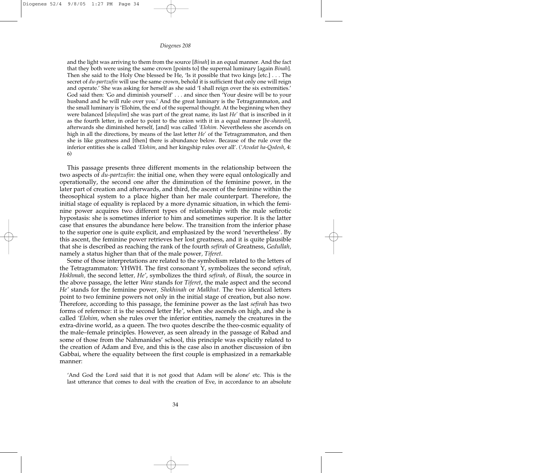and the light was arriving to them from the source [*Binah*] in an equal manner. And the fact that they both were using the same crown [points to] the supernal luminary [again *Binah*]. Then she said to the Holy One blessed be He, 'Is it possible that two kings [etc.] . . . The secret of *du-partzufin* will use the same crown, behold it is sufficient that only one will reign and operate.' She was asking for herself as she said 'I shall reign over the six extremities.' God said then: 'Go and diminish yourself' . . . and since then 'Your desire will be to your husband and he will rule over you.' And the great luminary is the Tetragrammaton, and the small luminary is 'Elohim, the end of the supernal thought. At the beginning when they were balanced [*shequlim*] she was part of the great name, its last *He'* that is inscribed in it as the fourth letter, in order to point to the union with it in a equal manner [*be-shaweh*], afterwards she diminished herself, [and] was called *'Elohim*. Nevertheless she ascends on high in all the directions, by means of the last letter *He'* of the Tetragrammaton, and then she is like greatness and [then] there is abundance below. Because of the rule over the inferior entities she is called *'Elohim*, and her kingship rules over all'. (*'Avodat ha-Qodesh*, 4: 6)

This passage presents three different moments in the relationship between the two aspects of *du-partzufin*: the initial one, when they were equal ontologically and operationally, the second one after the diminution of the feminine power, in the later part of creation and afterwards, and third, the ascent of the feminine within the theosophical system to a place higher than her male counterpart. Therefore, the initial stage of equality is replaced by a more dynamic situation, in which the feminine power acquires two different types of relationship with the male sefirotic hypostasis: she is sometimes inferior to him and sometimes superior. It is the latter case that ensures the abundance here below. The transition from the inferior phase to the superior one is quite explicit, and emphasized by the word 'nevertheless'. By this ascent, the feminine power retrieves her lost greatness, and it is quite plausible that she is described as reaching the rank of the fourth *sefirah* of Greatness, *Gedullah,* namely a status higher than that of the male power*, Tiferet.*

Some of those interpretations are related to the symbolism related to the letters of the Tetragrammaton: YHWH. The first consonant Y, symbolizes the second *sefirah, Hokhmah,* the second letter*, He'*, symbolizes the third *sefirah,* of *Binah*, the source in the above passage, the letter *Waw* stands for *Tiferet*, the male aspect and the second *He'* stands for the feminine power*, Shekhinah* or *Malkhut.* The two identical letters point to two feminine powers not only in the initial stage of creation, but also now. Therefore, according to this passage, the feminine power as the last *sefirah* has two forms of reference: it is the second letter He*'*, when she ascends on high, and she is called *'Elohim*, when she rules over the inferior entities, namely the creatures in the extra-divine world, as a queen. The two quotes describe the theo-cosmic equality of the male–female principles. However, as seen already in the passage of Rabad and some of those from the Nahmanides' school, this principle was explicitly related to the creation of Adam and Eve, and this is the case also in another discussion of ibn Gabbai, where the equality between the first couple is emphasized in a remarkable manner:

'And God the Lord said that it is not good that Adam will be alone' etc. This is the last utterance that comes to deal with the creation of Eve, in accordance to an absolute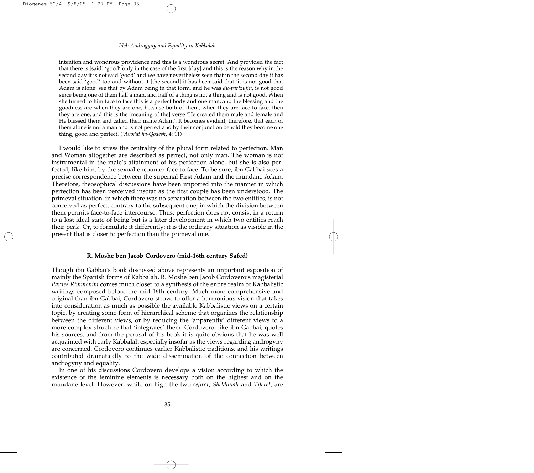intention and wondrous providence and this is a wondrous secret. And provided the fact that there is [said] 'good' only in the case of the first [day] and this is the reason why in the second day it is not said 'good' and we have nevertheless seen that in the second day it has been said 'good' too and without it [the second] it has been said that 'it is not good that Adam is alone' see that by Adam being in that form, and he was *du-partzufin*, is not good since being one of them half a man, and half of a thing is not a thing and is not good. When she turned to him face to face this is a perfect body and one man, and the blessing and the goodness are when they are one, because both of them, when they are face to face, then they are one, and this is the [meaning of the] verse 'He created them male and female and He blessed them and called their name Adam'. It becomes evident, therefore, that each of them alone is not a man and is not perfect and by their conjunction behold they become one thing, good and perfect. (*'Avodat ha-Qodesh*, 4: 11)

I would like to stress the centrality of the plural form related to perfection. Man and Woman altogether are described as perfect, not only man. The woman is not instrumental in the male's attainment of his perfection alone, but she is also perfected, like him, by the sexual encounter face to face. To be sure, ibn Gabbai sees a precise correspondence between the supernal First Adam and the mundane Adam. Therefore, theosophical discussions have been imported into the manner in which perfection has been perceived insofar as the first couple has been understood. The primeval situation, in which there was no separation between the two entities, is not conceived as perfect, contrary to the subsequent one, in which the division between them permits face-to-face intercourse. Thus, perfection does not consist in a return to a lost ideal state of being but is a later development in which two entities reach their peak. Or, to formulate it differently: it is the ordinary situation as visible in the present that is closer to perfection than the primeval one.

## **R. Moshe ben Jacob Cordovero (mid-16th century Safed)**

Though ibn Gabbai's book discussed above represents an important exposition of mainly the Spanish forms of Kabbalah, R. Moshe ben Jacob Cordovero's magisterial *Pardes Rimmonim* comes much closer to a synthesis of the entire realm of Kabbalistic writings composed before the mid-16th century. Much more comprehensive and original than ibn Gabbai, Cordovero strove to offer a harmonious vision that takes into consideration as much as possible the available Kabbalistic views on a certain topic, by creating some form of hierarchical scheme that organizes the relationship between the different views, or by reducing the 'apparently' different views to a more complex structure that 'integrates' them. Cordovero, like ibn Gabbai, quotes his sources, and from the perusal of his book it is quite obvious that he was well acquainted with early Kabbalah especially insofar as the views regarding androgyny are concerned. Cordovero continues earlier Kabbalistic traditions, and his writings contributed dramatically to the wide dissemination of the connection between androgyny and equality.

In one of his discussions Cordovero develops a vision according to which the existence of the feminine elements is necessary both on the highest and on the mundane level. However, while on high the two *sefirot, Shekhinah* and *Tiferet*, are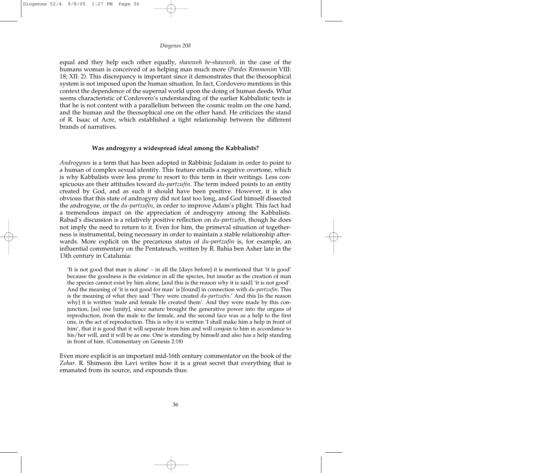equal and they help each other equally, *shawweh be-shawweh,* in the case of the humans woman is conceived of as helping man much more (*Pardes Rimmonim* VIII: 18; XII: 2). This discrepancy is important since it demonstrates that the theosophical system is not imposed upon the human situation. In fact, Cordovero mentions in this context the dependence of the supernal world upon the doing of human deeds. What seems characteristic of Cordovero's understanding of the earlier Kabbalistic texts is that he is not content with a parallelism between the cosmic realm on the one hand, and the human and the theosophical one on the other hand. He criticizes the stand of R. Isaac of Acre, which established a tight relationship between the different brands of narratives.

## **Was androgyny a widespread ideal among the Kabbalists?**

*Androgynos* is a term that has been adopted in Rabbinic Judaism in order to point to a human of complex sexual identity. This feature entails a negative overtone, which is why Kabbalists were less prone to resort to this term in their writings. Less conspicuous are their attitudes toward *du-partzufin*. The term indeed points to an entity created by God, and as such it should have been positive. However, it is also obvious that this state of androgyny did not last too long, and God himself dissected the androgyne, or the *du-partzufin*, in order to improve Adam's plight. This fact had a tremendous impact on the appreciation of androgyny among the Kabbalists. Rabad's discussion is a relatively positive reflection on *du-partzufin*, though he does not imply the need to return to it. Even for him, the primeval situation of togetherness is instrumental, being necessary in order to maintain a stable relationship afterwards. More explicit on the precarious status of *du-partzufin* is, for example, an influential commentary on the Pentateuch, written by R. Bahia ben Asher late in the 13th century in Catalunia:

'It is not good that man is alone' – in all the [days before] it is mentioned that 'it is good' because the goodness is the existence in all the species, but insofar as the creation of man the species cannot exist by him alone, [and this is the reason why it is said] 'it is not good'. And the meaning of 'it is not good for man' is [found] in connection with *du-partzufin*. This is the meaning of what they said 'They were created *du-partzufin*.' And this [is the reason why] it is written 'male and female He created them'. And they were made by this conjunction, [as] one [unity], since nature brought the generative power into the organs of reproduction, from the male to the female, and the second face was as a help to the first one, in the act of reproduction. This is why it is written 'I shall make him a help in front of him', that it is good that it will separate from him and will conjoin to him in accordance to his/her will, and it will be as one. One is standing by himself and also has a help standing in front of him. (Commentary on Genesis 2:18)

Even more explicit is an important mid-16th century commentator on the book of the *Zohar.* R. Shimeon ibn Lavi writes how it is a great secret that everything that is emanated from its source, and expounds thus: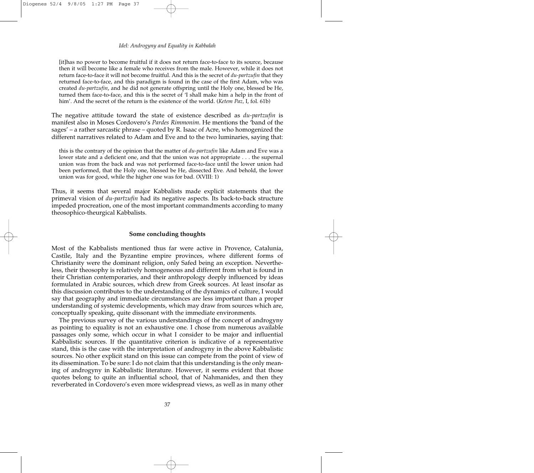[it]has no power to become fruitful if it does not return face-to-face to its source, because then it will become like a female who receives from the male. However, while it does not return face-to-face it will not become fruitful. And this is the secret of *du-partzufin* that they returned face-to-face, and this paradigm is found in the case of the first Adam, who was created *du-partzufin*, and he did not generate offspring until the Holy one, blessed be He, turned them face-to-face, and this is the secret of 'I shall make him a help in the front of him'. And the secret of the return is the existence of the world. (*Ketem Paz,* I, fol. 61b)

The negative attitude toward the state of existence described as *du-partzufin* is manifest also in Moses Cordovero's *Pardes Rimmonim*. He mentions the 'band of the sages' – a rather sarcastic phrase – quoted by R. Isaac of Acre, who homogenized the different narratives related to Adam and Eve and to the two luminaries, saying that:

this is the contrary of the opinion that the matter of *du-partzufin* like Adam and Eve was a lower state and a deficient one, and that the union was not appropriate . . . the supernal union was from the back and was not performed face-to-face until the lower union had been performed, that the Holy one, blessed be He, dissected Eve. And behold, the lower union was for good, while the higher one was for bad. (XVIII: 1)

Thus, it seems that several major Kabbalists made explicit statements that the primeval vision of *du-partzufin* had its negative aspects. Its back-to-back structure impeded procreation, one of the most important commandments according to many theosophico-theurgical Kabbalists.

## **Some concluding thoughts**

Most of the Kabbalists mentioned thus far were active in Provence, Catalunia, Castile, Italy and the Byzantine empire provinces, where different forms of Christianity were the dominant religion, only Safed being an exception. Nevertheless, their theosophy is relatively homogeneous and different from what is found in their Christian contemporaries, and their anthropology deeply influenced by ideas formulated in Arabic sources, which drew from Greek sources. At least insofar as this discussion contributes to the understanding of the dynamics of culture, I would say that geography and immediate circumstances are less important than a proper understanding of systemic developments, which may draw from sources which are, conceptually speaking, quite dissonant with the immediate environments.

The previous survey of the various understandings of the concept of androgyny as pointing to equality is not an exhaustive one. I chose from numerous available passages only some, which occur in what I consider to be major and influential Kabbalistic sources. If the quantitative criterion is indicative of a representative stand, this is the case with the interpretation of androgyny in the above Kabbalistic sources. No other explicit stand on this issue can compete from the point of view of its dissemination. To be sure: I do not claim that this understanding is the only meaning of androgyny in Kabbalistic literature. However, it seems evident that those quotes belong to quite an influential school, that of Nahmanides, and then they reverberated in Cordovero's even more widespread views, as well as in many other